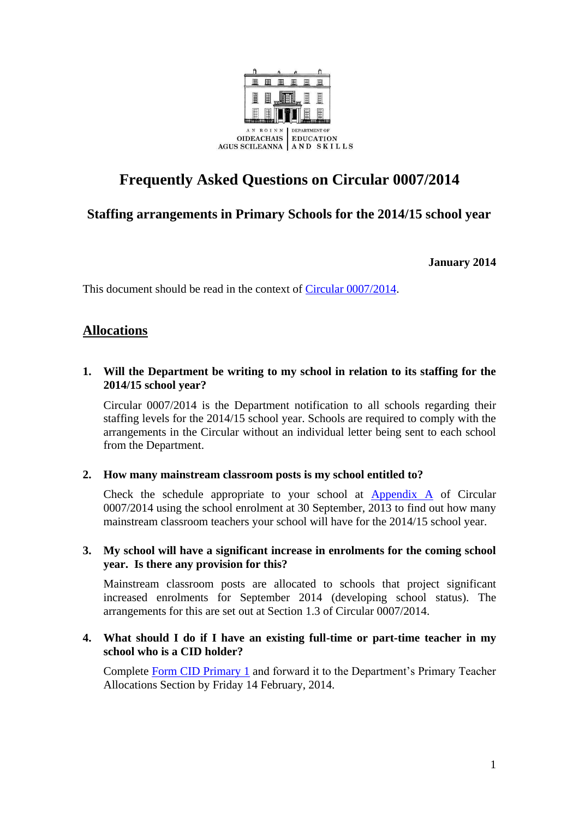

# **Frequently Asked Questions on Circular 0007/2014**

## **Staffing arrangements in Primary Schools for the 2014/15 school year**

**January 2014**

This document should be read in the context of [Circular 0007/2014.](http://www.education.ie/en/Circulars-and-Forms/Active-Circulars/cl0007_2014.pdf)

### **Allocations**

#### **1. Will the Department be writing to my school in relation to its staffing for the 2014/15 school year?**

Circular 0007/2014 is the Department notification to all schools regarding their staffing levels for the 2014/15 school year. Schools are required to comply with the arrangements in the Circular without an individual letter being sent to each school from the Department.

#### **2. How many mainstream classroom posts is my school entitled to?**

Check the schedule appropriate to your school at [Appendix A](http://www.education.ie/en/Circulars-and-Forms/Active-Circulars/cl0007_2014_appendixA.pdf) of Circular 0007/2014 using the school enrolment at 30 September, 2013 to find out how many mainstream classroom teachers your school will have for the 2014/15 school year.

#### **3. My school will have a significant increase in enrolments for the coming school year. Is there any provision for this?**

Mainstream classroom posts are allocated to schools that project significant increased enrolments for September 2014 (developing school status). The arrangements for this are set out at Section 1.3 of Circular 0007/2014.

#### **4. What should I do if I have an existing full-time or part-time teacher in my school who is a CID holder?**

Complete [Form CID Primary 1](http://www.education.ie/en/Schools-Colleges/Services/Teacher-Allocations-Staffing/Teacher-Allocation/FORM-CID-Primary-1.pdf) and forward it to the Department's Primary Teacher Allocations Section by Friday 14 February, 2014.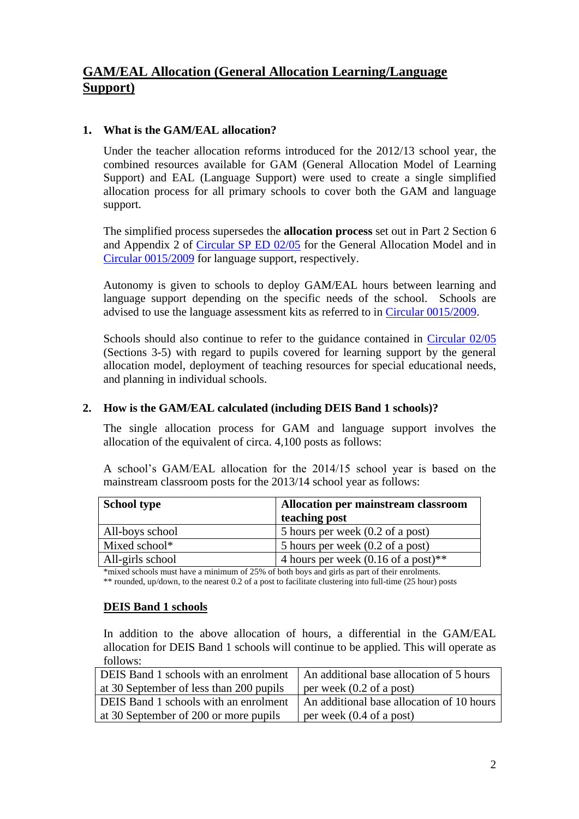# **GAM/EAL Allocation (General Allocation Learning/Language Support)**

### **1. What is the GAM/EAL allocation?**

Under the teacher allocation reforms introduced for the 2012/13 school year, the combined resources available for GAM (General Allocation Model of Learning Support) and EAL (Language Support) were used to create a single simplified allocation process for all primary schools to cover both the GAM and language support.

The simplified process supersedes the **allocation process** set out in Part 2 Section 6 and Appendix 2 of [Circular SP ED 02/05](http://www.education.ie/en/Circulars-and-Forms/Active-Circulars/sp02_05.doc) for the General Allocation Model and in [Circular 0015/2009](http://www.education.ie/en/Circulars-and-Forms/Archived-Circulars/cl0015_2009.pdf) for language support, respectively.

Autonomy is given to schools to deploy GAM/EAL hours between learning and language support depending on the specific needs of the school. Schools are advised to use the language assessment kits as referred to in [Circular 0015/2009.](http://www.education.ie/en/Circulars-and-Forms/Archived-Circulars/cl0015_2009.pdf)

Schools should also continue to refer to the guidance contained in [Circular 02/05](http://www.education.ie/en/Circulars-and-Forms/Active-Circulars/sp02_05.doc) (Sections 3-5) with regard to pupils covered for learning support by the general allocation model, deployment of teaching resources for special educational needs, and planning in individual schools.

#### **2. How is the GAM/EAL calculated (including DEIS Band 1 schools)?**

The single allocation process for GAM and language support involves the allocation of the equivalent of circa. 4,100 posts as follows:

A school's GAM/EAL allocation for the 2014/15 school year is based on the mainstream classroom posts for the 2013/14 school year as follows:

| <b>School type</b> | Allocation per mainstream classroom            |
|--------------------|------------------------------------------------|
|                    | teaching post                                  |
| All-boys school    | 5 hours per week (0.2 of a post)               |
| Mixed school*      | 5 hours per week (0.2 of a post)               |
| All-girls school   | 4 hours per week $(0.16 \text{ of a post})$ ** |

\*mixed schools must have a minimum of 25% of both boys and girls as part of their enrolments. \*\* rounded, up/down, to the nearest 0.2 of a post to facilitate clustering into full-time (25 hour) posts

#### **DEIS Band 1 schools**

In addition to the above allocation of hours, a differential in the GAM/EAL allocation for DEIS Band 1 schools will continue to be applied. This will operate as follows:

| <b>DEIS</b> Band 1 schools with an enrolment | An additional base allocation of 5 hours  |
|----------------------------------------------|-------------------------------------------|
| at 30 September of less than 200 pupils      | per week $(0.2 \text{ of a post})$        |
| DEIS Band 1 schools with an enrolment        | An additional base allocation of 10 hours |
| at 30 September of 200 or more pupils        | per week $(0.4 \text{ of a post})$        |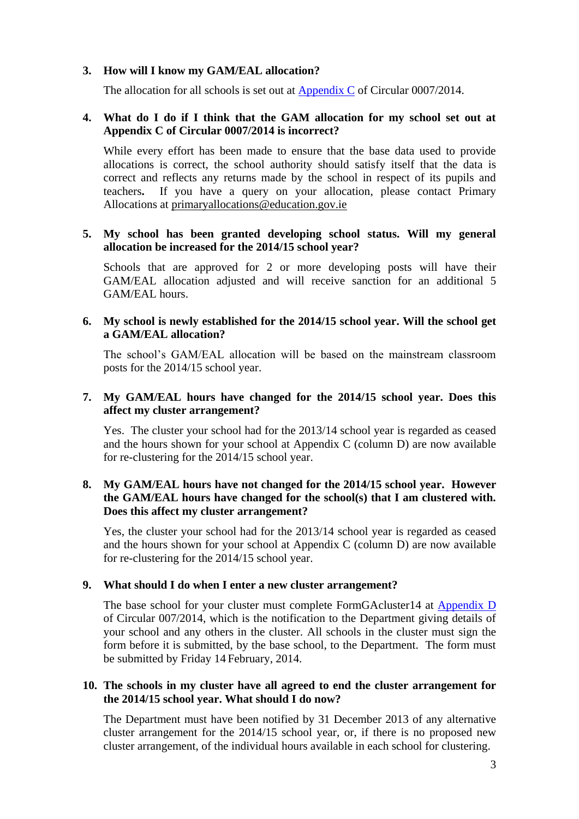#### **3. How will I know my GAM/EAL allocation?**

The allocation for all schools is set out at [Appendix C](http://www.education.ie/en/Circulars-and-Forms/Active-Circulars/cl0007_2014_appendixC.pdf) of Circular 0007/2014.

#### **4. What do I do if I think that the GAM allocation for my school set out at Appendix C of Circular 0007/2014 is incorrect?**

While every effort has been made to ensure that the base data used to provide allocations is correct, the school authority should satisfy itself that the data is correct and reflects any returns made by the school in respect of its pupils and teachers**.** If you have a query on your allocation, please contact Primary Allocations at [primaryallocations@education.gov.ie](mailto:primaryallocations@education.gov.ie)

#### **5. My school has been granted developing school status. Will my general allocation be increased for the 2014/15 school year?**

Schools that are approved for 2 or more developing posts will have their GAM/EAL allocation adjusted and will receive sanction for an additional 5 GAM/EAL hours.

#### **6. My school is newly established for the 2014/15 school year. Will the school get a GAM/EAL allocation?**

The school's GAM/EAL allocation will be based on the mainstream classroom posts for the 2014/15 school year.

#### **7. My GAM/EAL hours have changed for the 2014/15 school year. Does this affect my cluster arrangement?**

Yes. The cluster your school had for the 2013/14 school year is regarded as ceased and the hours shown for your school at Appendix C (column D) are now available for re-clustering for the 2014/15 school year.

#### **8. My GAM/EAL hours have not changed for the 2014/15 school year. However the GAM/EAL hours have changed for the school(s) that I am clustered with. Does this affect my cluster arrangement?**

Yes, the cluster your school had for the 2013/14 school year is regarded as ceased and the hours shown for your school at Appendix C (column D) are now available for re-clustering for the 2014/15 school year.

#### **9. What should I do when I enter a new cluster arrangement?**

The base school for your cluster must complete FormGAcluster14 at [Appendix D](http://www.education.ie/en/Circulars-and-Forms/Active-Circulars/cl0007_2014_appendixD.pdf) of Circular 007/2014, which is the notification to the Department giving details of your school and any others in the cluster. All schools in the cluster must sign the form before it is submitted, by the base school, to the Department. The form must be submitted by Friday 14 February, 2014.

#### **10. The schools in my cluster have all agreed to end the cluster arrangement for the 2014/15 school year. What should I do now?**

The Department must have been notified by 31 December 2013 of any alternative cluster arrangement for the 2014/15 school year, or, if there is no proposed new cluster arrangement, of the individual hours available in each school for clustering.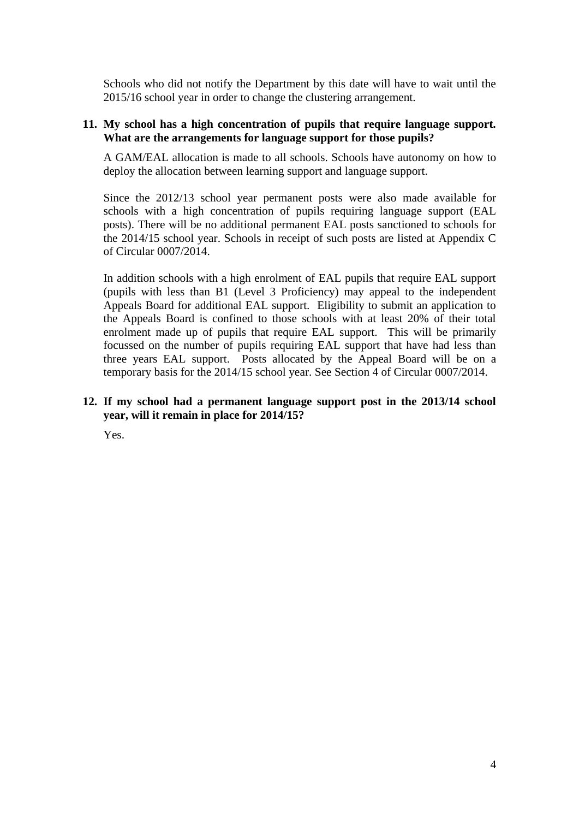Schools who did not notify the Department by this date will have to wait until the 2015/16 school year in order to change the clustering arrangement.

#### **11. My school has a high concentration of pupils that require language support. What are the arrangements for language support for those pupils?**

A GAM/EAL allocation is made to all schools. Schools have autonomy on how to deploy the allocation between learning support and language support.

Since the 2012/13 school year permanent posts were also made available for schools with a high concentration of pupils requiring language support (EAL posts). There will be no additional permanent EAL posts sanctioned to schools for the 2014/15 school year. Schools in receipt of such posts are listed at Appendix C of Circular 0007/2014.

In addition schools with a high enrolment of EAL pupils that require EAL support (pupils with less than B1 (Level 3 Proficiency) may appeal to the independent Appeals Board for additional EAL support. Eligibility to submit an application to the Appeals Board is confined to those schools with at least 20% of their total enrolment made up of pupils that require EAL support. This will be primarily focussed on the number of pupils requiring EAL support that have had less than three years EAL support. Posts allocated by the Appeal Board will be on a temporary basis for the 2014/15 school year. See Section 4 of Circular 0007/2014.

#### **12. If my school had a permanent language support post in the 2013/14 school year, will it remain in place for 2014/15?**

Yes.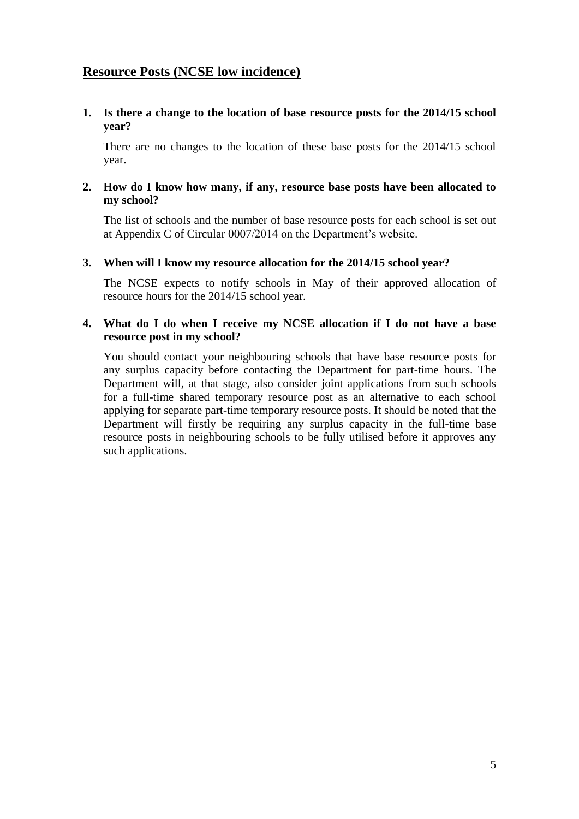### **Resource Posts (NCSE low incidence)**

**1. Is there a change to the location of base resource posts for the 2014/15 school year?** 

There are no changes to the location of these base posts for the 2014/15 school year.

#### **2. How do I know how many, if any, resource base posts have been allocated to my school?**

The list of schools and the number of base resource posts for each school is set out at Appendix C of Circular 0007/2014 on the Department's website.

#### **3. When will I know my resource allocation for the 2014/15 school year?**

The NCSE expects to notify schools in May of their approved allocation of resource hours for the 2014/15 school year.

#### **4. What do I do when I receive my NCSE allocation if I do not have a base resource post in my school?**

You should contact your neighbouring schools that have base resource posts for any surplus capacity before contacting the Department for part-time hours. The Department will, at that stage, also consider joint applications from such schools for a full-time shared temporary resource post as an alternative to each school applying for separate part-time temporary resource posts. It should be noted that the Department will firstly be requiring any surplus capacity in the full-time base resource posts in neighbouring schools to be fully utilised before it approves any such applications.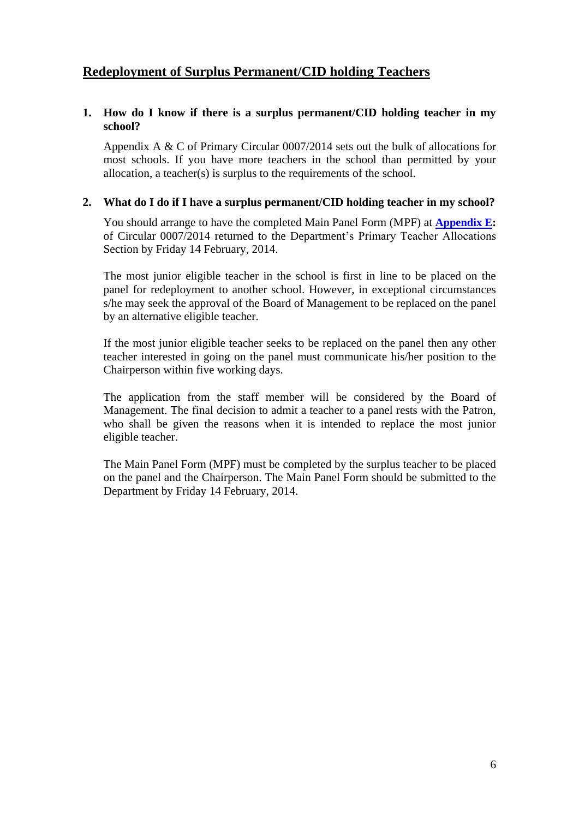## **Redeployment of Surplus Permanent/CID holding Teachers**

#### **1. How do I know if there is a surplus permanent/CID holding teacher in my school?**

Appendix A & C of Primary Circular 0007/2014 sets out the bulk of allocations for most schools. If you have more teachers in the school than permitted by your allocation, a teacher(s) is surplus to the requirements of the school.

#### **2. What do I do if I have a surplus permanent/CID holding teacher in my school?**

You should arrange to have the completed Main Panel Form (MPF) at **[Appendix E:](http://www.education.ie/en/Circulars-and-Forms/Active-Circulars/cl007_2014_appendixE.pdf)**  of Circular 0007/2014 returned to the Department's Primary Teacher Allocations Section by Friday 14 February, 2014.

The most junior eligible teacher in the school is first in line to be placed on the panel for redeployment to another school. However, in exceptional circumstances s/he may seek the approval of the Board of Management to be replaced on the panel by an alternative eligible teacher.

If the most junior eligible teacher seeks to be replaced on the panel then any other teacher interested in going on the panel must communicate his/her position to the Chairperson within five working days.

The application from the staff member will be considered by the Board of Management. The final decision to admit a teacher to a panel rests with the Patron, who shall be given the reasons when it is intended to replace the most junior eligible teacher.

The Main Panel Form (MPF) must be completed by the surplus teacher to be placed on the panel and the Chairperson. The Main Panel Form should be submitted to the Department by Friday 14 February, 2014.